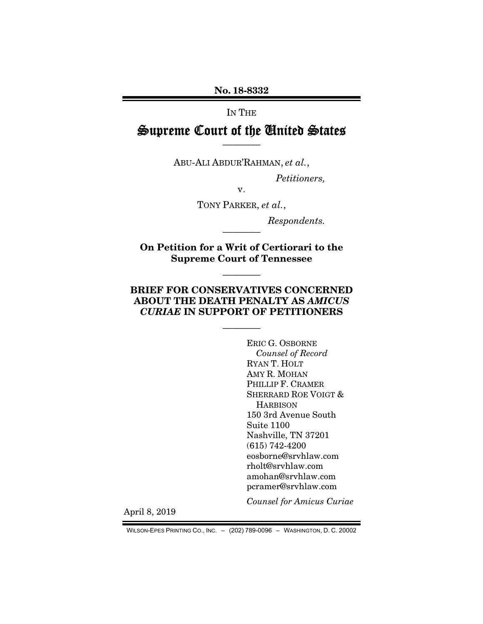No. 18-8332

## IN THE

# Supreme Court of the United States ————

ABU-ALI ABDUR'RAHMAN, *et al.*,

*Petitioners,* 

v.

TONY PARKER, *et al.*,

*Respondents.* 

On Petition for a Writ of Certiorari to the Supreme Court of Tennessee

————

————

# BRIEF FOR CONSERVATIVES CONCERNED ABOUT THE DEATH PENALTY AS *AMICUS CURIAE* IN SUPPORT OF PETITIONERS

————

ERIC G. OSBORNE *Counsel of Record*  RYAN T. HOLT AMY R. MOHAN PHILLIP F. CRAMER SHERRARD ROE VOIGT & **HARBISON** 150 3rd Avenue South Suite 1100 Nashville, TN 37201 (615) 742-4200 eosborne@srvhlaw.com rholt@srvhlaw.com amohan@srvhlaw.com pcramer@srvhlaw.com

*Counsel for Amicus Curiae* 

April 8, 2019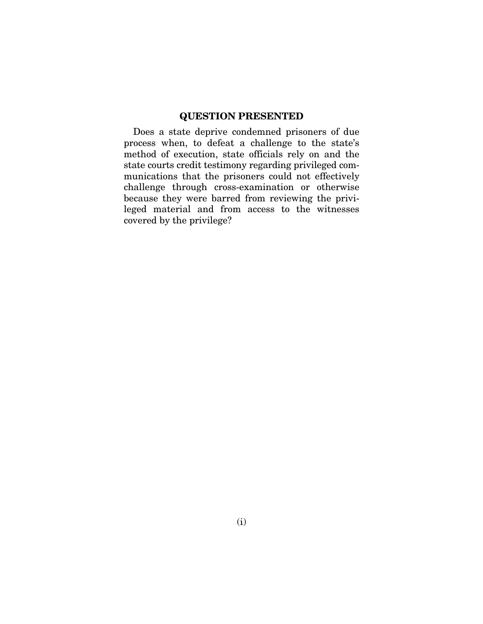# QUESTION PRESENTED

Does a state deprive condemned prisoners of due process when, to defeat a challenge to the state's method of execution, state officials rely on and the state courts credit testimony regarding privileged communications that the prisoners could not effectively challenge through cross-examination or otherwise because they were barred from reviewing the privileged material and from access to the witnesses covered by the privilege?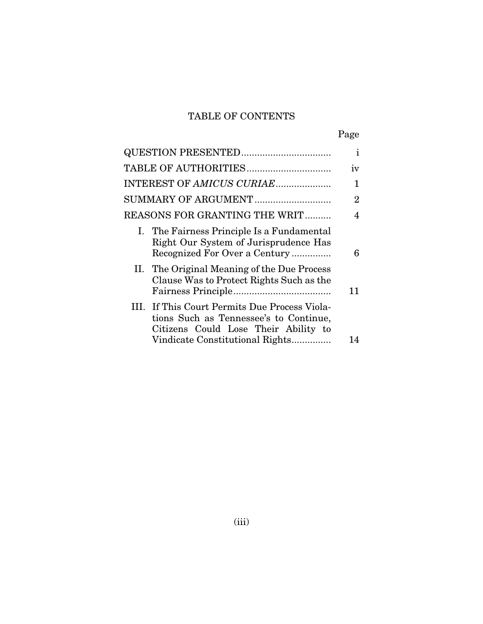# TABLE OF CONTENTS

|--|

|                                                                                                                                 | $\mathbf{I}$   |
|---------------------------------------------------------------------------------------------------------------------------------|----------------|
| TABLE OF AUTHORITIES                                                                                                            | iv             |
| INTEREST OF AMICUS CURIAE                                                                                                       | 1              |
| SUMMARY OF ARGUMENT                                                                                                             | $\overline{2}$ |
| REASONS FOR GRANTING THE WRIT                                                                                                   | 4              |
| I. The Fairness Principle Is a Fundamental<br>Right Our System of Jurisprudence Has<br>Recognized For Over a Century            | 6              |
| II. The Original Meaning of the Due Process<br>Clause Was to Protect Rights Such as the                                         | 11             |
| III. If This Court Permits Due Process Viola-<br>tions Such as Tennessee's to Continue,<br>Citizens Could Lose Their Ability to |                |
| Vindicate Constitutional Rights                                                                                                 | 14             |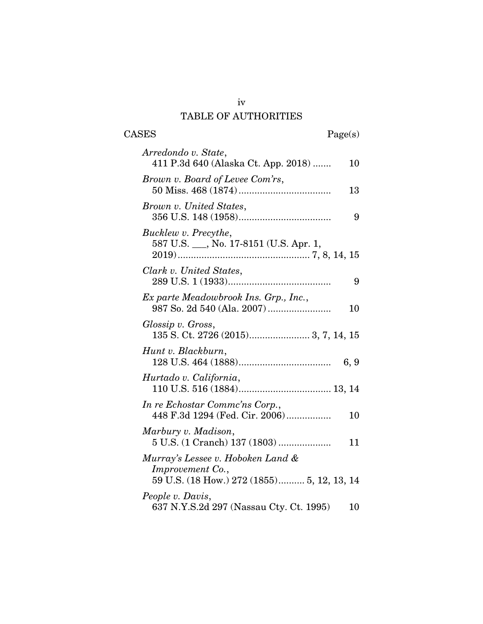# TABLE OF AUTHORITIES

 $\begin{tabular}{cc} \textbf{CASES} & \textbf{Page(s)}\\ \end{tabular}$ 

| Arredondo v. State,                                                                                 |   |
|-----------------------------------------------------------------------------------------------------|---|
| 411 P.3d 640 (Alaska Ct. App. 2018)<br>10                                                           |   |
| Brown v. Board of Levee Com'rs,<br>13                                                               |   |
| Brown v. United States,                                                                             | 9 |
| Bucklew v. Precythe,<br>587 U.S. __, No. 17-8151 (U.S. Apr. 1,                                      |   |
| Clark v. United States,                                                                             | 9 |
| Ex parte Meadowbrook Ins. Grp., Inc.,<br>10                                                         |   |
| Glossip v. Gross,                                                                                   |   |
| Hunt v. Blackburn,<br>6, 9                                                                          |   |
| Hurtado v. California,                                                                              |   |
| In re Echostar Commc'ns Corp.,<br>448 F.3d 1294 (Fed. Cir. 2006)<br>10                              |   |
| Marbury v. Madison,<br>11                                                                           |   |
| Murray's Lessee v. Hoboken Land &<br>Improvement Co.,<br>59 U.S. (18 How.) 272 (1855) 5, 12, 13, 14 |   |
| People v. Davis,<br>637 N.Y.S.2d 297 (Nassau Cty. Ct. 1995)<br>10                                   |   |

iv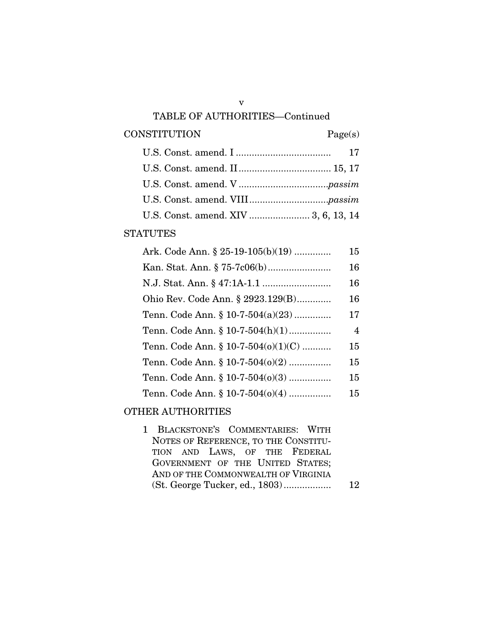#### TABLE OF AUTHORITIES—Continued

### CONSTITUTION Page(s)

### **STATUTES**

| Ark. Code Ann. § 25-19-105(b)(19)       | 15 |
|-----------------------------------------|----|
|                                         | 16 |
|                                         | 16 |
| Ohio Rev. Code Ann. § 2923.129(B)       | 16 |
| Tenn. Code Ann. § 10-7-504(a)(23)       | 17 |
| Tenn. Code Ann. $\S 10-7-504(h)(1)$     | 4  |
| Tenn. Code Ann. § 10-7-504( $o$ )(1)(C) | 15 |
| Tenn. Code Ann. § 10-7-504( $o(2)$      | 15 |
| Tenn. Code Ann. § 10-7-504( $o(3)$      | 15 |
| Tenn. Code Ann. § 10-7-504( $o$ )(4)    | 15 |
|                                         |    |

## OTHER AUTHORITIES

1 BLACKSTONE'S COMMENTARIES: WITH NOTES OF REFERENCE, TO THE CONSTITU-TION AND LAWS, OF THE FEDERAL GOVERNMENT OF THE UNITED STATES; AND OF THE COMMONWEALTH OF VIRGINIA (St. George Tucker, ed., 1803) .................. 12

v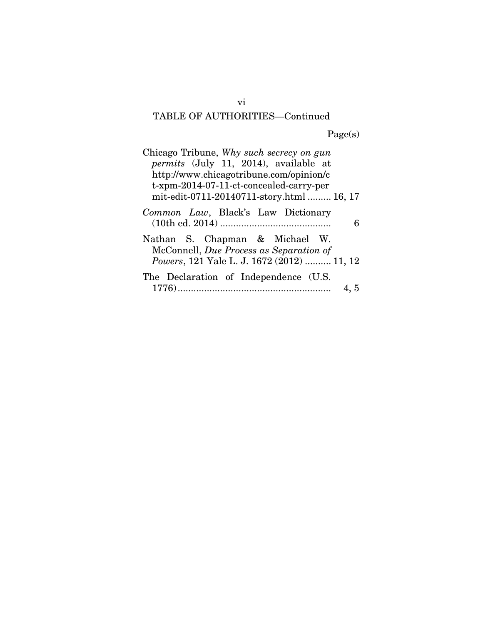# TABLE OF AUTHORITIES—Continued

Page(s)

| Chicago Tribune, Why such secrecy on gun     |
|----------------------------------------------|
| <i>permits</i> (July 11, 2014), available at |
| http://www.chicagotribune.com/opinion/c      |
| t-xpm-2014-07-11-ct-concealed-carry-per      |
| mit-edit-0711-20140711-story.html  16, 17    |
| Common Law, Black's Law Dictionary           |
| Nathan S. Chapman & Michael W.               |
| McConnell, Due Process as Separation of      |
| Powers, 121 Yale L. J. 1672 (2012)  11, 12   |
| The Declaration of Independence (U.S.        |
| 4, 5                                         |

vi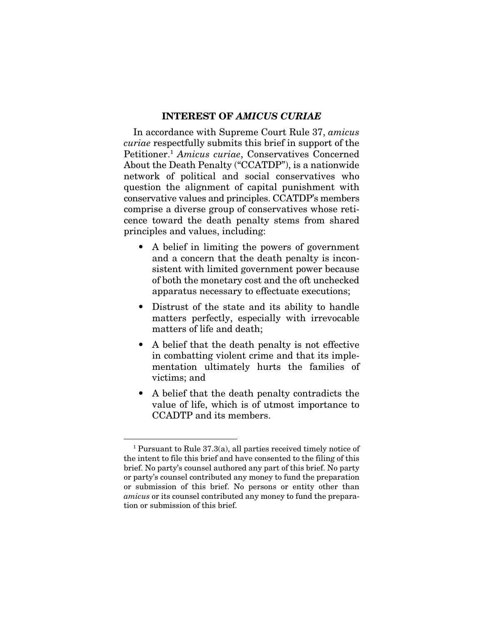#### INTEREST OF *AMICUS CURIAE*

In accordance with Supreme Court Rule 37, *amicus curiae* respectfully submits this brief in support of the Petitioner.1 *Amicus curiae*, Conservatives Concerned About the Death Penalty ("CCATDP"), is a nationwide network of political and social conservatives who question the alignment of capital punishment with conservative values and principles. CCATDP's members comprise a diverse group of conservatives whose reticence toward the death penalty stems from shared principles and values, including:

- A belief in limiting the powers of government and a concern that the death penalty is inconsistent with limited government power because of both the monetary cost and the oft unchecked apparatus necessary to effectuate executions;
- Distrust of the state and its ability to handle matters perfectly, especially with irrevocable matters of life and death;
- A belief that the death penalty is not effective in combatting violent crime and that its implementation ultimately hurts the families of victims; and
- A belief that the death penalty contradicts the value of life, which is of utmost importance to CCADTP and its members.

 <sup>1</sup> Pursuant to Rule 37.3(a), all parties received timely notice of the intent to file this brief and have consented to the filing of this brief. No party's counsel authored any part of this brief. No party or party's counsel contributed any money to fund the preparation or submission of this brief. No persons or entity other than *amicus* or its counsel contributed any money to fund the preparation or submission of this brief.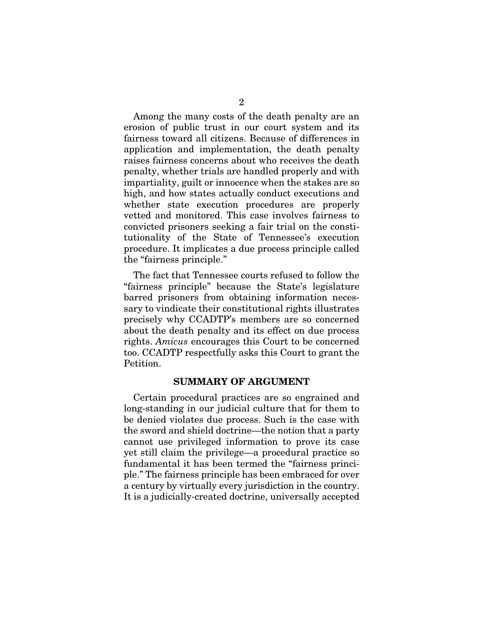Among the many costs of the death penalty are an erosion of public trust in our court system and its fairness toward all citizens. Because of differences in application and implementation, the death penalty raises fairness concerns about who receives the death penalty, whether trials are handled properly and with impartiality, guilt or innocence when the stakes are so high, and how states actually conduct executions and whether state execution procedures are properly vetted and monitored. This case involves fairness to convicted prisoners seeking a fair trial on the constitutionality of the State of Tennessee's execution procedure. It implicates a due process principle called the "fairness principle."

The fact that Tennessee courts refused to follow the "fairness principle" because the State's legislature barred prisoners from obtaining information necessary to vindicate their constitutional rights illustrates precisely why CCADTP's members are so concerned about the death penalty and its effect on due process rights. *Amicus* encourages this Court to be concerned too. CCADTP respectfully asks this Court to grant the Petition.

#### SUMMARY OF ARGUMENT

Certain procedural practices are so engrained and long-standing in our judicial culture that for them to be denied violates due process. Such is the case with the sword and shield doctrine—the notion that a party cannot use privileged information to prove its case yet still claim the privilege—a procedural practice so fundamental it has been termed the "fairness principle." The fairness principle has been embraced for over a century by virtually every jurisdiction in the country. It is a judicially-created doctrine, universally accepted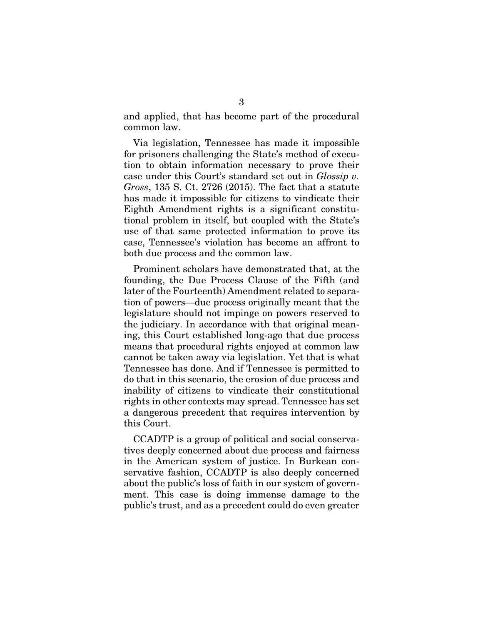and applied, that has become part of the procedural common law.

Via legislation, Tennessee has made it impossible for prisoners challenging the State's method of execution to obtain information necessary to prove their case under this Court's standard set out in *Glossip v. Gross*, 135 S. Ct. 2726 (2015). The fact that a statute has made it impossible for citizens to vindicate their Eighth Amendment rights is a significant constitutional problem in itself, but coupled with the State's use of that same protected information to prove its case, Tennessee's violation has become an affront to both due process and the common law.

Prominent scholars have demonstrated that, at the founding, the Due Process Clause of the Fifth (and later of the Fourteenth) Amendment related to separation of powers—due process originally meant that the legislature should not impinge on powers reserved to the judiciary. In accordance with that original meaning, this Court established long-ago that due process means that procedural rights enjoyed at common law cannot be taken away via legislation. Yet that is what Tennessee has done. And if Tennessee is permitted to do that in this scenario, the erosion of due process and inability of citizens to vindicate their constitutional rights in other contexts may spread. Tennessee has set a dangerous precedent that requires intervention by this Court.

CCADTP is a group of political and social conservatives deeply concerned about due process and fairness in the American system of justice. In Burkean conservative fashion, CCADTP is also deeply concerned about the public's loss of faith in our system of government. This case is doing immense damage to the public's trust, and as a precedent could do even greater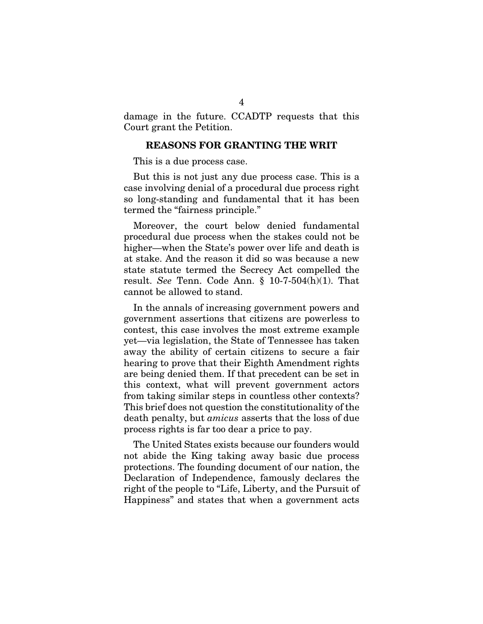damage in the future. CCADTP requests that this Court grant the Petition.

#### REASONS FOR GRANTING THE WRIT

This is a due process case.

But this is not just any due process case. This is a case involving denial of a procedural due process right so long-standing and fundamental that it has been termed the "fairness principle."

Moreover, the court below denied fundamental procedural due process when the stakes could not be higher—when the State's power over life and death is at stake. And the reason it did so was because a new state statute termed the Secrecy Act compelled the result. *See* Tenn. Code Ann. § 10-7-504(h)(1). That cannot be allowed to stand.

In the annals of increasing government powers and government assertions that citizens are powerless to contest, this case involves the most extreme example yet—via legislation, the State of Tennessee has taken away the ability of certain citizens to secure a fair hearing to prove that their Eighth Amendment rights are being denied them. If that precedent can be set in this context, what will prevent government actors from taking similar steps in countless other contexts? This brief does not question the constitutionality of the death penalty, but *amicus* asserts that the loss of due process rights is far too dear a price to pay.

The United States exists because our founders would not abide the King taking away basic due process protections. The founding document of our nation, the Declaration of Independence, famously declares the right of the people to "Life, Liberty, and the Pursuit of Happiness" and states that when a government acts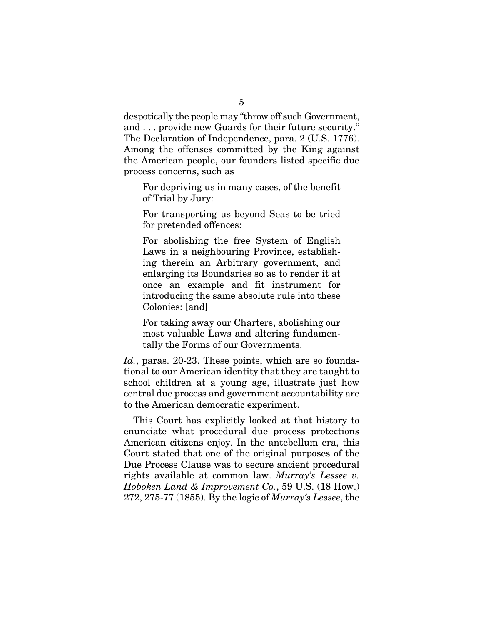despotically the people may "throw off such Government, and . . . provide new Guards for their future security." The Declaration of Independence, para. 2 (U.S. 1776). Among the offenses committed by the King against the American people, our founders listed specific due process concerns, such as

For depriving us in many cases, of the benefit of Trial by Jury:

For transporting us beyond Seas to be tried for pretended offences:

For abolishing the free System of English Laws in a neighbouring Province, establishing therein an Arbitrary government, and enlarging its Boundaries so as to render it at once an example and fit instrument for introducing the same absolute rule into these Colonies: [and]

For taking away our Charters, abolishing our most valuable Laws and altering fundamentally the Forms of our Governments.

Id., paras. 20-23. These points, which are so foundational to our American identity that they are taught to school children at a young age, illustrate just how central due process and government accountability are to the American democratic experiment.

This Court has explicitly looked at that history to enunciate what procedural due process protections American citizens enjoy. In the antebellum era, this Court stated that one of the original purposes of the Due Process Clause was to secure ancient procedural rights available at common law. *Murray's Lessee v. Hoboken Land & Improvement Co.*, 59 U.S. (18 How.) 272, 275-77 (1855). By the logic of *Murray's Lessee*, the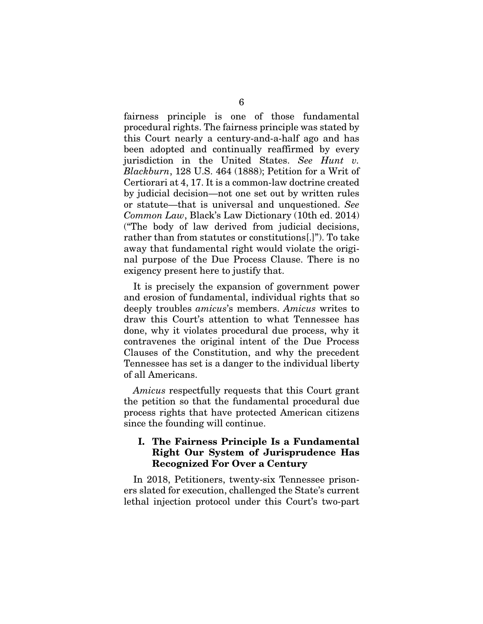fairness principle is one of those fundamental procedural rights. The fairness principle was stated by this Court nearly a century-and-a-half ago and has been adopted and continually reaffirmed by every jurisdiction in the United States. *See Hunt v. Blackburn*, 128 U.S. 464 (1888); Petition for a Writ of Certiorari at 4, 17. It is a common-law doctrine created by judicial decision—not one set out by written rules or statute—that is universal and unquestioned. *See Common Law*, Black's Law Dictionary (10th ed. 2014) ("The body of law derived from judicial decisions, rather than from statutes or constitutions[.]"). To take away that fundamental right would violate the original purpose of the Due Process Clause. There is no exigency present here to justify that.

It is precisely the expansion of government power and erosion of fundamental, individual rights that so deeply troubles *amicus*'s members. *Amicus* writes to draw this Court's attention to what Tennessee has done, why it violates procedural due process, why it contravenes the original intent of the Due Process Clauses of the Constitution, and why the precedent Tennessee has set is a danger to the individual liberty of all Americans.

*Amicus* respectfully requests that this Court grant the petition so that the fundamental procedural due process rights that have protected American citizens since the founding will continue.

## I. The Fairness Principle Is a Fundamental Right Our System of Jurisprudence Has Recognized For Over a Century

In 2018, Petitioners, twenty-six Tennessee prisoners slated for execution, challenged the State's current lethal injection protocol under this Court's two-part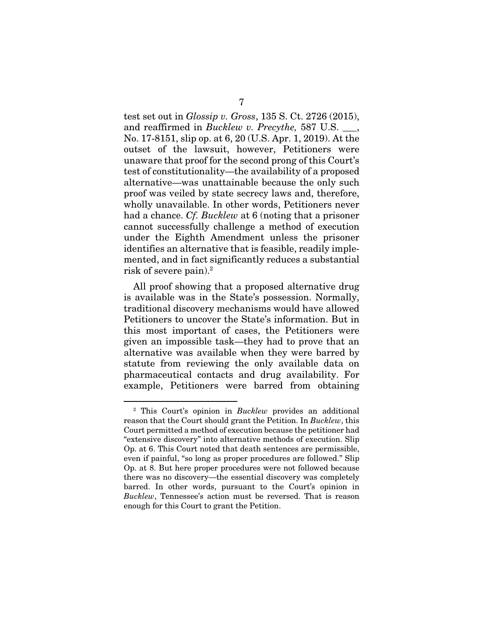test set out in *Glossip v. Gross*, 135 S. Ct. 2726 (2015), and reaffirmed in *Bucklew v. Precythe*, 587 U.S., No. 17-8151, slip op. at 6, 20 (U.S. Apr. 1, 2019). At the outset of the lawsuit, however, Petitioners were unaware that proof for the second prong of this Court's test of constitutionality—the availability of a proposed alternative—was unattainable because the only such proof was veiled by state secrecy laws and, therefore, wholly unavailable. In other words, Petitioners never had a chance. *Cf. Bucklew* at 6 (noting that a prisoner cannot successfully challenge a method of execution under the Eighth Amendment unless the prisoner identifies an alternative that is feasible, readily implemented, and in fact significantly reduces a substantial risk of severe pain).<sup>2</sup>

All proof showing that a proposed alternative drug is available was in the State's possession. Normally, traditional discovery mechanisms would have allowed Petitioners to uncover the State's information. But in this most important of cases, the Petitioners were given an impossible task—they had to prove that an alternative was available when they were barred by statute from reviewing the only available data on pharmaceutical contacts and drug availability. For example, Petitioners were barred from obtaining

<sup>&</sup>lt;sup>2</sup> This Court's opinion in *Bucklew* provides an additional reason that the Court should grant the Petition. In *Bucklew*, this Court permitted a method of execution because the petitioner had "extensive discovery" into alternative methods of execution. Slip Op. at 6. This Court noted that death sentences are permissible, even if painful, "so long as proper procedures are followed." Slip Op. at 8. But here proper procedures were not followed because there was no discovery—the essential discovery was completely barred. In other words, pursuant to the Court's opinion in *Bucklew*, Tennessee's action must be reversed. That is reason enough for this Court to grant the Petition.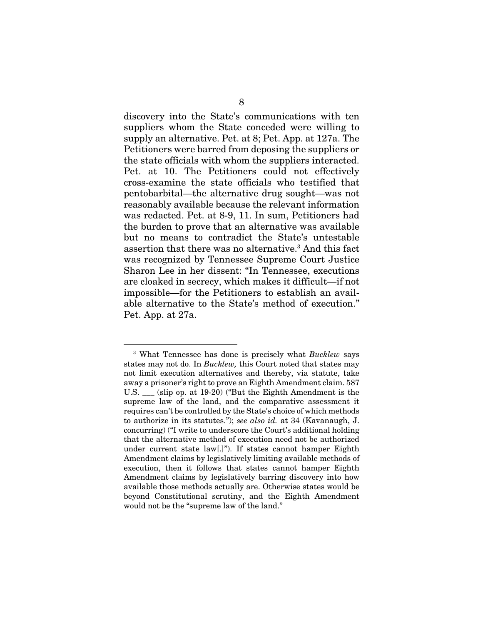discovery into the State's communications with ten suppliers whom the State conceded were willing to supply an alternative. Pet. at 8; Pet. App. at 127a. The Petitioners were barred from deposing the suppliers or the state officials with whom the suppliers interacted. Pet. at 10. The Petitioners could not effectively cross-examine the state officials who testified that pentobarbital—the alternative drug sought—was not reasonably available because the relevant information was redacted. Pet. at 8-9, 11. In sum, Petitioners had the burden to prove that an alternative was available but no means to contradict the State's untestable assertion that there was no alternative.3 And this fact was recognized by Tennessee Supreme Court Justice Sharon Lee in her dissent: "In Tennessee, executions are cloaked in secrecy, which makes it difficult—if not impossible—for the Petitioners to establish an available alternative to the State's method of execution." Pet. App. at 27a.

 <sup>3</sup> What Tennessee has done is precisely what *Bucklew* says states may not do. In *Bucklew,* this Court noted that states may not limit execution alternatives and thereby, via statute, take away a prisoner's right to prove an Eighth Amendment claim. 587 U.S. \_\_\_ (slip op. at 19-20) ("But the Eighth Amendment is the supreme law of the land, and the comparative assessment it requires can't be controlled by the State's choice of which methods to authorize in its statutes."); *see also id.* at 34 (Kavanaugh, J. concurring) ("I write to underscore the Court's additional holding that the alternative method of execution need not be authorized under current state law[.]"). If states cannot hamper Eighth Amendment claims by legislatively limiting available methods of execution, then it follows that states cannot hamper Eighth Amendment claims by legislatively barring discovery into how available those methods actually are. Otherwise states would be beyond Constitutional scrutiny, and the Eighth Amendment would not be the "supreme law of the land."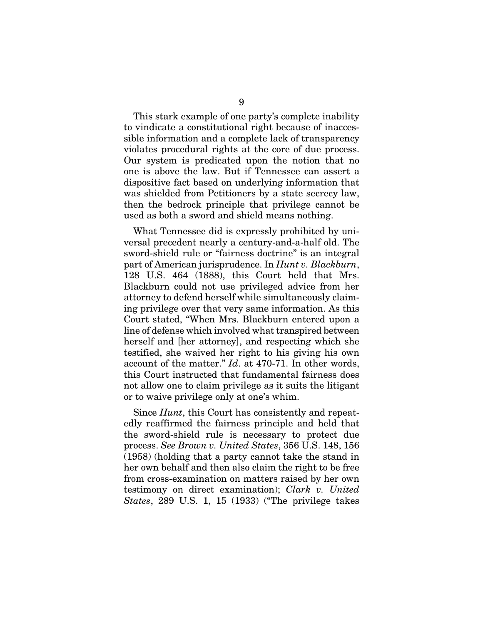This stark example of one party's complete inability to vindicate a constitutional right because of inaccessible information and a complete lack of transparency violates procedural rights at the core of due process. Our system is predicated upon the notion that no one is above the law. But if Tennessee can assert a dispositive fact based on underlying information that was shielded from Petitioners by a state secrecy law, then the bedrock principle that privilege cannot be used as both a sword and shield means nothing.

What Tennessee did is expressly prohibited by universal precedent nearly a century-and-a-half old. The sword-shield rule or "fairness doctrine" is an integral part of American jurisprudence. In *Hunt v. Blackburn*, 128 U.S. 464 (1888), this Court held that Mrs. Blackburn could not use privileged advice from her attorney to defend herself while simultaneously claiming privilege over that very same information. As this Court stated, "When Mrs. Blackburn entered upon a line of defense which involved what transpired between herself and [her attorney], and respecting which she testified, she waived her right to his giving his own account of the matter." *Id*. at 470-71. In other words, this Court instructed that fundamental fairness does not allow one to claim privilege as it suits the litigant or to waive privilege only at one's whim.

Since *Hunt*, this Court has consistently and repeatedly reaffirmed the fairness principle and held that the sword-shield rule is necessary to protect due process. *See Brown v. United States*, 356 U.S. 148, 156 (1958) (holding that a party cannot take the stand in her own behalf and then also claim the right to be free from cross-examination on matters raised by her own testimony on direct examination); *Clark v. United States*, 289 U.S. 1, 15 (1933) ("The privilege takes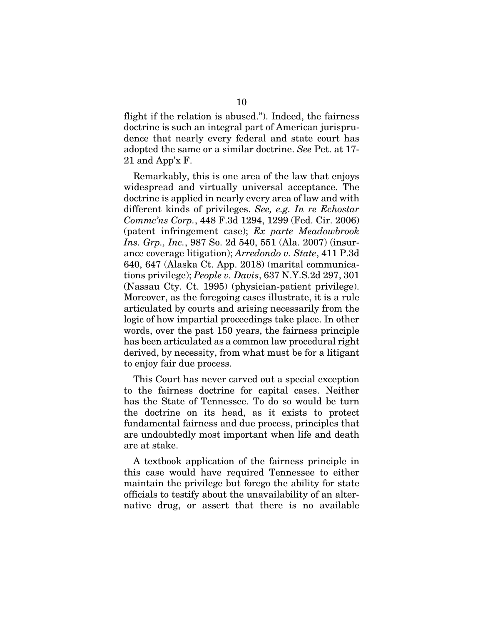flight if the relation is abused."). Indeed, the fairness doctrine is such an integral part of American jurisprudence that nearly every federal and state court has adopted the same or a similar doctrine. *See* Pet. at 17- 21 and App'x F.

Remarkably, this is one area of the law that enjoys widespread and virtually universal acceptance. The doctrine is applied in nearly every area of law and with different kinds of privileges. *See, e.g. In re Echostar Commc'ns Corp.*, 448 F.3d 1294, 1299 (Fed. Cir. 2006) (patent infringement case); *Ex parte Meadowbrook Ins. Grp., Inc.*, 987 So. 2d 540, 551 (Ala. 2007) (insurance coverage litigation); *Arredondo v. State*, 411 P.3d 640, 647 (Alaska Ct. App. 2018) (marital communications privilege); *People v. Davis*, 637 N.Y.S.2d 297, 301 (Nassau Cty. Ct. 1995) (physician-patient privilege). Moreover, as the foregoing cases illustrate, it is a rule articulated by courts and arising necessarily from the logic of how impartial proceedings take place. In other words, over the past 150 years, the fairness principle has been articulated as a common law procedural right derived, by necessity, from what must be for a litigant to enjoy fair due process.

This Court has never carved out a special exception to the fairness doctrine for capital cases. Neither has the State of Tennessee. To do so would be turn the doctrine on its head, as it exists to protect fundamental fairness and due process, principles that are undoubtedly most important when life and death are at stake.

A textbook application of the fairness principle in this case would have required Tennessee to either maintain the privilege but forego the ability for state officials to testify about the unavailability of an alternative drug, or assert that there is no available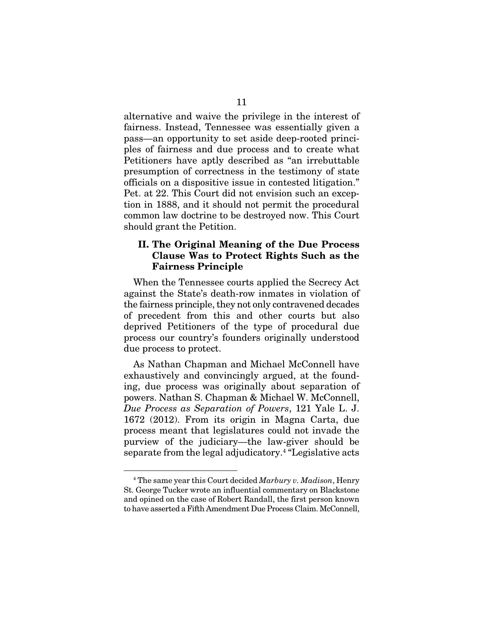alternative and waive the privilege in the interest of fairness. Instead, Tennessee was essentially given a pass—an opportunity to set aside deep-rooted principles of fairness and due process and to create what Petitioners have aptly described as "an irrebuttable presumption of correctness in the testimony of state officials on a dispositive issue in contested litigation." Pet. at 22. This Court did not envision such an exception in 1888, and it should not permit the procedural common law doctrine to be destroyed now. This Court should grant the Petition.

#### II. The Original Meaning of the Due Process Clause Was to Protect Rights Such as the Fairness Principle

When the Tennessee courts applied the Secrecy Act against the State's death-row inmates in violation of the fairness principle, they not only contravened decades of precedent from this and other courts but also deprived Petitioners of the type of procedural due process our country's founders originally understood due process to protect.

As Nathan Chapman and Michael McConnell have exhaustively and convincingly argued, at the founding, due process was originally about separation of powers. Nathan S. Chapman & Michael W. McConnell, *Due Process as Separation of Powers*, 121 Yale L. J. 1672 (2012). From its origin in Magna Carta, due process meant that legislatures could not invade the purview of the judiciary—the law-giver should be separate from the legal adjudicatory.<sup>4</sup> "Legislative acts

 <sup>4</sup> The same year this Court decided *Marbury v. Madison*, Henry St. George Tucker wrote an influential commentary on Blackstone and opined on the case of Robert Randall, the first person known to have asserted a Fifth Amendment Due Process Claim. McConnell,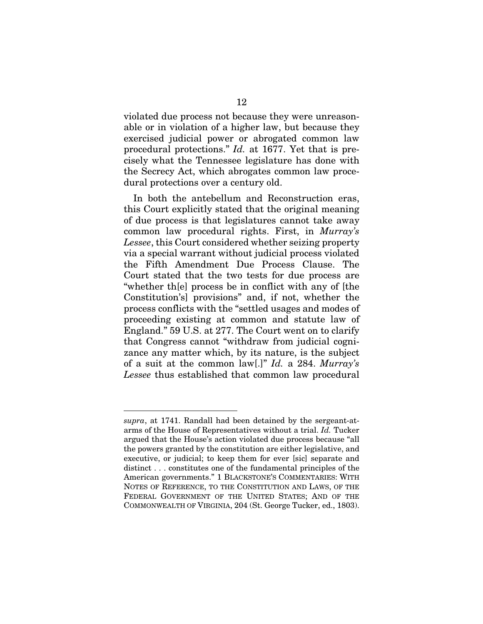violated due process not because they were unreasonable or in violation of a higher law, but because they exercised judicial power or abrogated common law procedural protections." *Id.* at 1677. Yet that is precisely what the Tennessee legislature has done with the Secrecy Act, which abrogates common law procedural protections over a century old.

In both the antebellum and Reconstruction eras, this Court explicitly stated that the original meaning of due process is that legislatures cannot take away common law procedural rights. First, in *Murray's Lessee*, this Court considered whether seizing property via a special warrant without judicial process violated the Fifth Amendment Due Process Clause. The Court stated that the two tests for due process are "whether th[e] process be in conflict with any of [the Constitution's] provisions" and, if not, whether the process conflicts with the "settled usages and modes of proceeding existing at common and statute law of England." 59 U.S. at 277. The Court went on to clarify that Congress cannot "withdraw from judicial cognizance any matter which, by its nature, is the subject of a suit at the common law[.]" *Id.* a 284. *Murray's Lessee* thus established that common law procedural

<u>.</u>

*supra*, at 1741. Randall had been detained by the sergeant-atarms of the House of Representatives without a trial. *Id.* Tucker argued that the House's action violated due process because "all the powers granted by the constitution are either legislative, and executive, or judicial; to keep them for ever [sic] separate and distinct . . . constitutes one of the fundamental principles of the American governments." 1 BLACKSTONE'S COMMENTARIES: WITH NOTES OF REFERENCE, TO THE CONSTITUTION AND LAWS, OF THE FEDERAL GOVERNMENT OF THE UNITED STATES; AND OF THE COMMONWEALTH OF VIRGINIA, 204 (St. George Tucker, ed., 1803).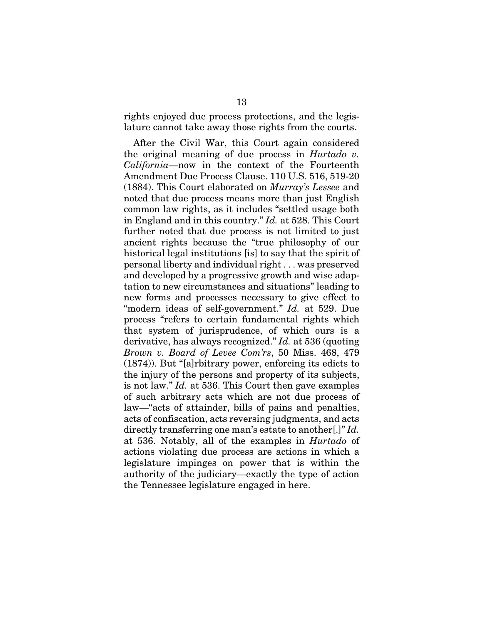rights enjoyed due process protections, and the legislature cannot take away those rights from the courts.

After the Civil War, this Court again considered the original meaning of due process in *Hurtado v. California*—now in the context of the Fourteenth Amendment Due Process Clause. 110 U.S. 516, 519-20 (1884). This Court elaborated on *Murray's Lessee* and noted that due process means more than just English common law rights, as it includes "settled usage both in England and in this country." *Id.* at 528. This Court further noted that due process is not limited to just ancient rights because the "true philosophy of our historical legal institutions [is] to say that the spirit of personal liberty and individual right . . . was preserved and developed by a progressive growth and wise adaptation to new circumstances and situations" leading to new forms and processes necessary to give effect to "modern ideas of self-government." *Id.* at 529. Due process "refers to certain fundamental rights which that system of jurisprudence, of which ours is a derivative, has always recognized." *Id.* at 536 (quoting *Brown v. Board of Levee Com'rs*, 50 Miss. 468, 479 (1874)). But "[a]rbitrary power, enforcing its edicts to the injury of the persons and property of its subjects, is not law." *Id.* at 536. This Court then gave examples of such arbitrary acts which are not due process of law—"acts of attainder, bills of pains and penalties, acts of confiscation, acts reversing judgments, and acts directly transferring one man's estate to another[.]" *Id.* at 536. Notably, all of the examples in *Hurtado* of actions violating due process are actions in which a legislature impinges on power that is within the authority of the judiciary—exactly the type of action the Tennessee legislature engaged in here.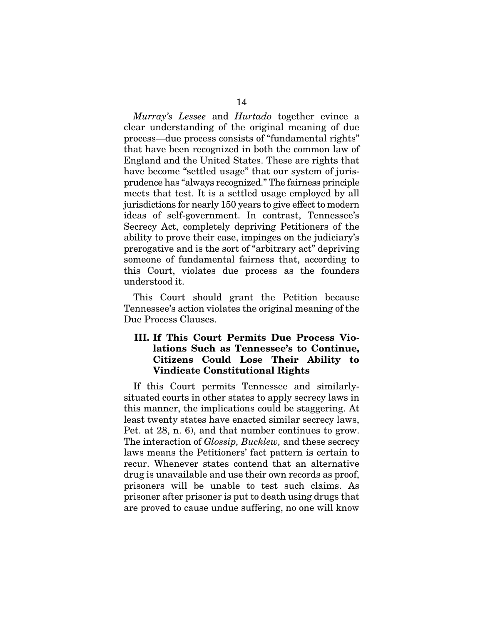*Murray's Lessee* and *Hurtado* together evince a clear understanding of the original meaning of due process—due process consists of "fundamental rights" that have been recognized in both the common law of England and the United States. These are rights that have become "settled usage" that our system of juris-

prudence has "always recognized." The fairness principle meets that test. It is a settled usage employed by all jurisdictions for nearly 150 years to give effect to modern ideas of self-government. In contrast, Tennessee's Secrecy Act, completely depriving Petitioners of the ability to prove their case, impinges on the judiciary's prerogative and is the sort of "arbitrary act" depriving someone of fundamental fairness that, according to this Court, violates due process as the founders understood it.

This Court should grant the Petition because Tennessee's action violates the original meaning of the Due Process Clauses.

## III. If This Court Permits Due Process Violations Such as Tennessee's to Continue, Citizens Could Lose Their Ability to Vindicate Constitutional Rights

If this Court permits Tennessee and similarlysituated courts in other states to apply secrecy laws in this manner, the implications could be staggering. At least twenty states have enacted similar secrecy laws, Pet. at 28, n. 6), and that number continues to grow. The interaction of *Glossip, Bucklew,* and these secrecy laws means the Petitioners' fact pattern is certain to recur. Whenever states contend that an alternative drug is unavailable and use their own records as proof, prisoners will be unable to test such claims. As prisoner after prisoner is put to death using drugs that are proved to cause undue suffering, no one will know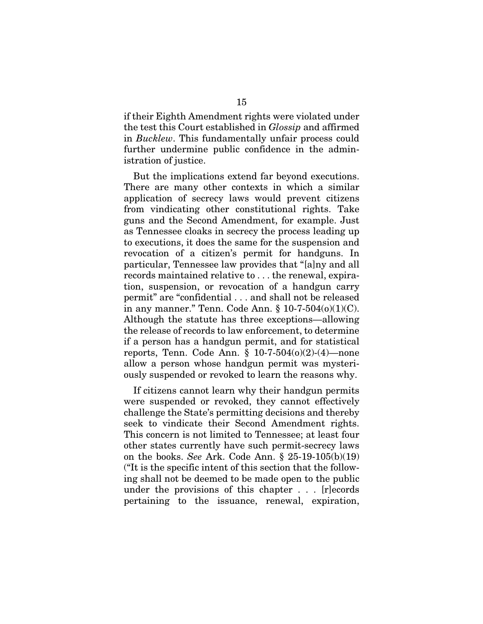if their Eighth Amendment rights were violated under the test this Court established in *Glossip* and affirmed in *Bucklew*. This fundamentally unfair process could further undermine public confidence in the administration of justice.

But the implications extend far beyond executions. There are many other contexts in which a similar application of secrecy laws would prevent citizens from vindicating other constitutional rights. Take guns and the Second Amendment, for example. Just as Tennessee cloaks in secrecy the process leading up to executions, it does the same for the suspension and revocation of a citizen's permit for handguns. In particular, Tennessee law provides that "[a]ny and all records maintained relative to . . . the renewal, expiration, suspension, or revocation of a handgun carry permit" are "confidential . . . and shall not be released in any manner." Tenn. Code Ann.  $§ 10-7-504(0)(1)(C)$ . Although the statute has three exceptions—allowing the release of records to law enforcement, to determine if a person has a handgun permit, and for statistical reports, Tenn. Code Ann.  $\S 10-7-504(0)(2)-(4)$ —none allow a person whose handgun permit was mysteriously suspended or revoked to learn the reasons why.

If citizens cannot learn why their handgun permits were suspended or revoked, they cannot effectively challenge the State's permitting decisions and thereby seek to vindicate their Second Amendment rights. This concern is not limited to Tennessee; at least four other states currently have such permit-secrecy laws on the books. *See* Ark. Code Ann. § 25-19-105(b)(19) ("It is the specific intent of this section that the following shall not be deemed to be made open to the public under the provisions of this chapter . . . [r]ecords pertaining to the issuance, renewal, expiration,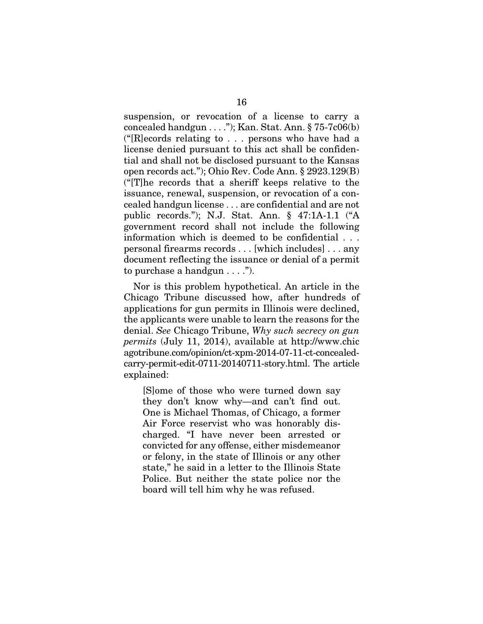suspension, or revocation of a license to carry a concealed handgun  $\dots$ "); Kan. Stat. Ann. § 75-7 $c06(b)$  $({}^{\omega}[R]$ ecords relating to . . . persons who have had a license denied pursuant to this act shall be confidential and shall not be disclosed pursuant to the Kansas open records act."); Ohio Rev. Code Ann. § 2923.129(B) ("[T]he records that a sheriff keeps relative to the issuance, renewal, suspension, or revocation of a concealed handgun license . . . are confidential and are not public records."); N.J. Stat. Ann. § 47:1A-1.1 ("A government record shall not include the following information which is deemed to be confidential . . . personal firearms records . . . [which includes] . . . any document reflecting the issuance or denial of a permit to purchase a handgun  $\dots$ .").

Nor is this problem hypothetical. An article in the Chicago Tribune discussed how, after hundreds of applications for gun permits in Illinois were declined, the applicants were unable to learn the reasons for the denial. *See* Chicago Tribune, *Why such secrecy on gun permits* (July 11, 2014), available at http://www.chic agotribune.com/opinion/ct-xpm-2014-07-11-ct-concealedcarry-permit-edit-0711-20140711-story.html. The article explained:

[S]ome of those who were turned down say they don't know why—and can't find out. One is Michael Thomas, of Chicago, a former Air Force reservist who was honorably discharged. "I have never been arrested or convicted for any offense, either misdemeanor or felony, in the state of Illinois or any other state," he said in a letter to the Illinois State Police. But neither the state police nor the board will tell him why he was refused.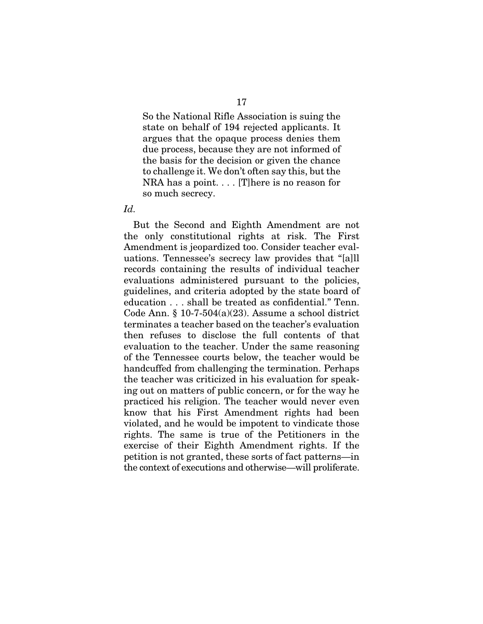So the National Rifle Association is suing the state on behalf of 194 rejected applicants. It argues that the opaque process denies them due process, because they are not informed of the basis for the decision or given the chance to challenge it. We don't often say this, but the NRA has a point. . . . [T]here is no reason for so much secrecy.

#### *Id.*

But the Second and Eighth Amendment are not the only constitutional rights at risk. The First Amendment is jeopardized too. Consider teacher evaluations. Tennessee's secrecy law provides that "[a]ll records containing the results of individual teacher evaluations administered pursuant to the policies, guidelines, and criteria adopted by the state board of education . . . shall be treated as confidential." Tenn. Code Ann.  $\S 10$ -7-504(a)(23). Assume a school district terminates a teacher based on the teacher's evaluation then refuses to disclose the full contents of that evaluation to the teacher. Under the same reasoning of the Tennessee courts below, the teacher would be handcuffed from challenging the termination. Perhaps the teacher was criticized in his evaluation for speaking out on matters of public concern, or for the way he practiced his religion. The teacher would never even know that his First Amendment rights had been violated, and he would be impotent to vindicate those rights. The same is true of the Petitioners in the exercise of their Eighth Amendment rights. If the petition is not granted, these sorts of fact patterns—in the context of executions and otherwise—will proliferate.